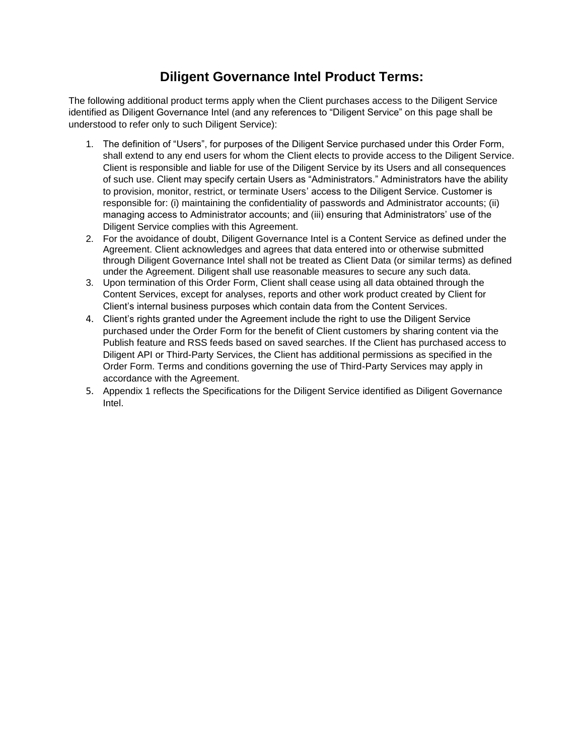## **Diligent Governance Intel Product Terms:**

The following additional product terms apply when the Client purchases access to the Diligent Service identified as Diligent Governance Intel (and any references to "Diligent Service" on this page shall be understood to refer only to such Diligent Service):

- 1. The definition of "Users", for purposes of the Diligent Service purchased under this Order Form, shall extend to any end users for whom the Client elects to provide access to the Diligent Service. Client is responsible and liable for use of the Diligent Service by its Users and all consequences of such use. Client may specify certain Users as "Administrators." Administrators have the ability to provision, monitor, restrict, or terminate Users' access to the Diligent Service. Customer is responsible for: (i) maintaining the confidentiality of passwords and Administrator accounts; (ii) managing access to Administrator accounts; and (iii) ensuring that Administrators' use of the Diligent Service complies with this Agreement.
- 2. For the avoidance of doubt, Diligent Governance Intel is a Content Service as defined under the Agreement. Client acknowledges and agrees that data entered into or otherwise submitted through Diligent Governance Intel shall not be treated as Client Data (or similar terms) as defined under the Agreement. Diligent shall use reasonable measures to secure any such data.
- 3. Upon termination of this Order Form, Client shall cease using all data obtained through the Content Services, except for analyses, reports and other work product created by Client for Client's internal business purposes which contain data from the Content Services.
- 4. Client's rights granted under the Agreement include the right to use the Diligent Service purchased under the Order Form for the benefit of Client customers by sharing content via the Publish feature and RSS feeds based on saved searches. If the Client has purchased access to Diligent API or Third-Party Services, the Client has additional permissions as specified in the Order Form. Terms and conditions governing the use of Third-Party Services may apply in accordance with the Agreement.
- 5. Appendix 1 reflects the Specifications for the Diligent Service identified as Diligent Governance Intel.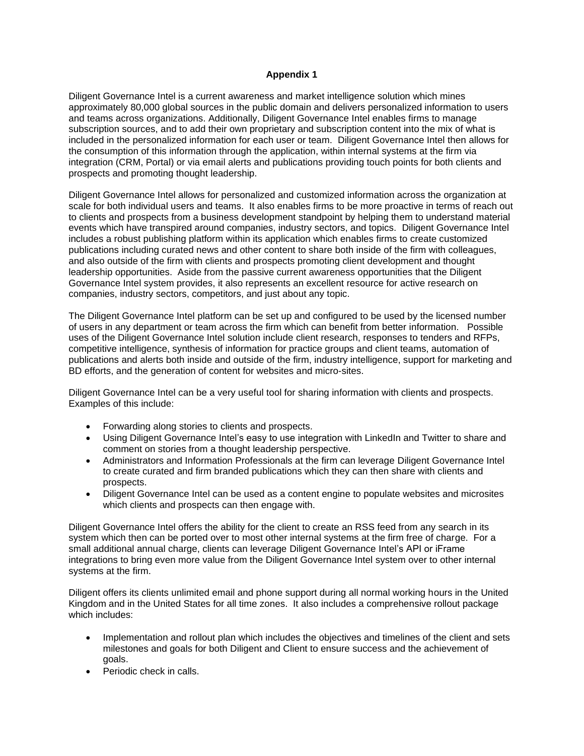## **Appendix 1**

Diligent Governance Intel is a current awareness and market intelligence solution which mines approximately 80,000 global sources in the public domain and delivers personalized information to users and teams across organizations. Additionally, Diligent Governance Intel enables firms to manage subscription sources, and to add their own proprietary and subscription content into the mix of what is included in the personalized information for each user or team. Diligent Governance Intel then allows for the consumption of this information through the application, within internal systems at the firm via integration (CRM, Portal) or via email alerts and publications providing touch points for both clients and prospects and promoting thought leadership.

Diligent Governance Intel allows for personalized and customized information across the organization at scale for both individual users and teams. It also enables firms to be more proactive in terms of reach out to clients and prospects from a business development standpoint by helping them to understand material events which have transpired around companies, industry sectors, and topics. Diligent Governance Intel includes a robust publishing platform within its application which enables firms to create customized publications including curated news and other content to share both inside of the firm with colleagues, and also outside of the firm with clients and prospects promoting client development and thought leadership opportunities. Aside from the passive current awareness opportunities that the Diligent Governance Intel system provides, it also represents an excellent resource for active research on companies, industry sectors, competitors, and just about any topic.

The Diligent Governance Intel platform can be set up and configured to be used by the licensed number of users in any department or team across the firm which can benefit from better information. Possible uses of the Diligent Governance Intel solution include client research, responses to tenders and RFPs, competitive intelligence, synthesis of information for practice groups and client teams, automation of publications and alerts both inside and outside of the firm, industry intelligence, support for marketing and BD efforts, and the generation of content for websites and micro-sites.

Diligent Governance Intel can be a very useful tool for sharing information with clients and prospects. Examples of this include:

- Forwarding along stories to clients and prospects.
- Using Diligent Governance Intel's easy to use integration with LinkedIn and Twitter to share and comment on stories from a thought leadership perspective.
- Administrators and Information Professionals at the firm can leverage Diligent Governance Intel to create curated and firm branded publications which they can then share with clients and prospects.
- Diligent Governance Intel can be used as a content engine to populate websites and microsites which clients and prospects can then engage with.

Diligent Governance Intel offers the ability for the client to create an RSS feed from any search in its system which then can be ported over to most other internal systems at the firm free of charge. For a small additional annual charge, clients can leverage Diligent Governance Intel's API or iFrame integrations to bring even more value from the Diligent Governance Intel system over to other internal systems at the firm.

Diligent offers its clients unlimited email and phone support during all normal working hours in the United Kingdom and in the United States for all time zones. It also includes a comprehensive rollout package which includes:

- Implementation and rollout plan which includes the objectives and timelines of the client and sets milestones and goals for both Diligent and Client to ensure success and the achievement of goals.
- Periodic check in calls.